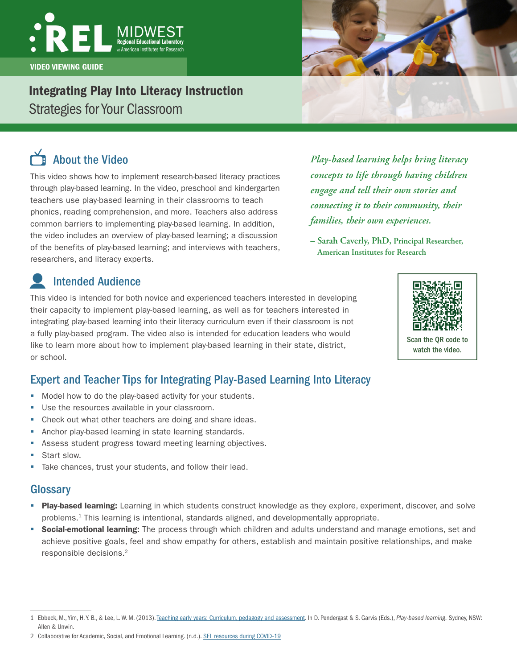# VIDEO VIEWING GUIDE

# Integrating Play Into Literacy Instruction

Strategies for Your Classroom

# About the Video

This video shows how to implement research-based literacy practices through play-based learning. In the video, preschool and kindergarten teachers use play-based learning in their classrooms to teach phonics, reading comprehension, and more. Teachers also address common barriers to implementing play-based learning. In addition, the video includes an overview of play-based learning; a discussion of the benefits of play-based learning; and interviews with teachers, researchers, and literacy experts.

Intended Audience

This video is intended for both novice and experienced teachers interested in developing their capacity to implement play-based learning, as well as for teachers interested in integrating play-based learning into their literacy curriculum even if their classroom is not a fully play-based program. The video also is intended for education leaders who would like to learn more about how to implement play-based learning in their state, district, or school.

## Expert and Teacher Tips for Integrating Play-Based Learning Into Literacy

- **Model how to do the play-based activity for your students.**
- **Use the resources available in your classroom.**
- Check out what other teachers are doing and share ideas.
- **Anchor play-based learning in state learning standards.**
- **Assess student progress toward meeting learning objectives.**
- Start slow.
- Take chances, trust your students, and follow their lead.

## **Glossary**

- Play-based learning: Learning in which students construct knowledge as they explore, experiment, discover, and solve problems.1 This learning is intentional, standards aligned, and developmentally appropriate.
- **Social-emotional learning:** The process through which children and adults understand and manage emotions, set and achieve positive goals, feel and show empathy for others, establish and maintain positive relationships, and make responsible decisions.2

*Play-based learning helps bring literacy concepts to life through having children engage and tell their own stories and connecting it to their community, their families, their own experiences.* 

**– Sarah Caverly, PhD, Principal Researcher, American Institutes for Research** 





<sup>1</sup> Ebbeck, M., Yim, H. Y. B., & Lee, L. W. M. (2013). [Teaching early years: Curriculum, pedagogy and assessment](http://dro.deakin.edu.au/view/DU:30052049). In D. Pendergast & S. Garvis (Eds.), *Play-based learning.* Sydney, NSW: Allen & Unwin.

<sup>2</sup> Collaborative for Academic, Social, and Emotional Learning. (n.d.). [SEL resources during COVID-19](https://casel.org/what-is-sel/)